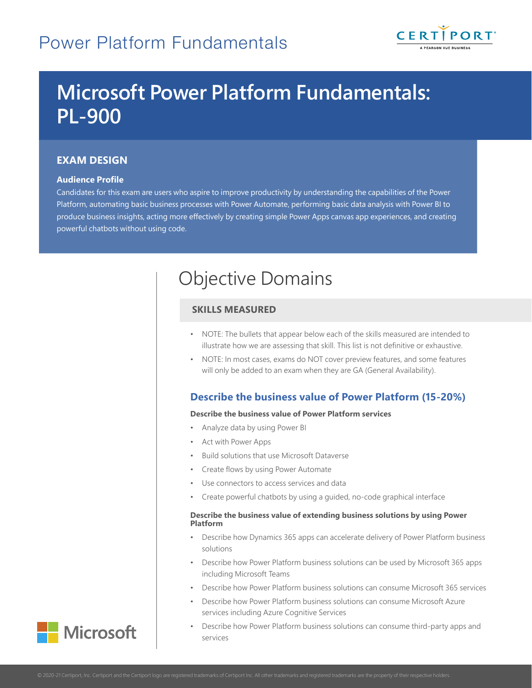

# **Microsoft Power Platform Fundamentals: PL-900**

# **EXAM DESIGN**

## **Audience Profile**

Candidates for this exam are users who aspire to improve productivity by understanding the capabilities of the Power Platform, automating basic business processes with Power Automate, performing basic data analysis with Power BI to produce business insights, acting more effectively by creating simple Power Apps canvas app experiences, and creating powerful chatbots without using code.

# Objective Domains

# **SKILLS MEASURED**

- NOTE: The bullets that appear below each of the skills measured are intended to illustrate how we are assessing that skill. This list is not definitive or exhaustive.
- NOTE: In most cases, exams do NOT cover preview features, and some features will only be added to an exam when they are GA (General Availability).

# **Describe the business value of Power Platform (15-20%)**

## **Describe the business value of Power Platform services**

- Analyze data by using Power BI
- Act with Power Apps
- Build solutions that use Microsoft Dataverse
- Create flows by using Power Automate
- Use connectors to access services and data
- Create powerful chatbots by using a guided, no-code graphical interface

## **Describe the business value of extending business solutions by using Power Platform**

- Describe how Dynamics 365 apps can accelerate delivery of Power Platform business solutions
- Describe how Power Platform business solutions can be used by Microsoft 365 apps including Microsoft Teams
- Describe how Power Platform business solutions can consume Microsoft 365 services
- Describe how Power Platform business solutions can consume Microsoft Azure services including Azure Cognitive Services
- Describe how Power Platform business solutions can consume third-party apps and services

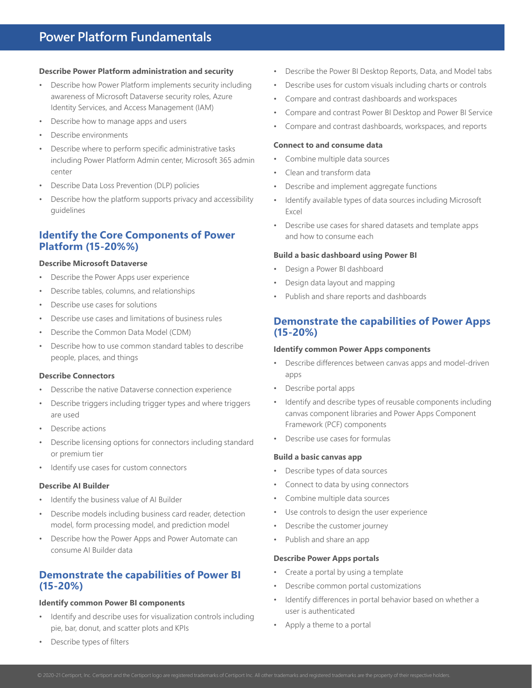#### **Describe Power Platform administration and security**

- Describe how Power Platform implements security including awareness of Microsoft Dataverse security roles, Azure Identity Services, and Access Management (IAM)
- Describe how to manage apps and users
- Describe environments
- Describe where to perform specific administrative tasks including Power Platform Admin center, Microsoft 365 admin center
- Describe Data Loss Prevention (DLP) policies
- Describe how the platform supports privacy and accessibility guidelines

# **Identify the Core Components of Power Platform (15-20%%)**

#### **Describe Microsoft Dataverse**

- Describe the Power Apps user experience
- Describe tables, columns, and relationships
- Describe use cases for solutions
- Describe use cases and limitations of business rules
- Describe the Common Data Model (CDM)
- Describe how to use common standard tables to describe people, places, and things

#### **Describe Connectors**

- Desscribe the native Dataverse connection experience
- Describe triggers including trigger types and where triggers are used
- Describe actions
- Describe licensing options for connectors including standard or premium tier
- Identify use cases for custom connectors

#### **Describe AI Builder**

- Identify the business value of AI Builder
- Describe models including business card reader, detection model, form processing model, and prediction model
- Describe how the Power Apps and Power Automate can consume AI Builder data

# **Demonstrate the capabilities of Power BI (15-20%)**

#### **Identify common Power BI components**

- Identify and describe uses for visualization controls including pie, bar, donut, and scatter plots and KPIs
- Describe types of filters
- Describe the Power BI Desktop Reports, Data, and Model tabs
- Describe uses for custom visuals including charts or controls
- Compare and contrast dashboards and workspaces
- Compare and contrast Power BI Desktop and Power BI Service
- Compare and contrast dashboards, workspaces, and reports

#### **Connect to and consume data**

- Combine multiple data sources
- Clean and transform data
- Describe and implement aggregate functions
- Identify available types of data sources including Microsoft Excel
- Describe use cases for shared datasets and template apps and how to consume each

## **Build a basic dashboard using Power BI**

- Design a Power BI dashboard
- Design data layout and mapping
- Publish and share reports and dashboards

# **Demonstrate the capabilities of Power Apps (15-20%)**

#### **Identify common Power Apps components**

- Describe differences between canvas apps and model-driven apps
- Describe portal apps
- Identify and describe types of reusable components including canvas component libraries and Power Apps Component Framework (PCF) components
- Describe use cases for formulas

#### **Build a basic canvas app**

- Describe types of data sources
- Connect to data by using connectors
- Combine multiple data sources
- Use controls to design the user experience
- Describe the customer journey
- Publish and share an app

#### **Describe Power Apps portals**

- Create a portal by using a template
- Describe common portal customizations
- Identify differences in portal behavior based on whether a user is authenticated
- Apply a theme to a portal